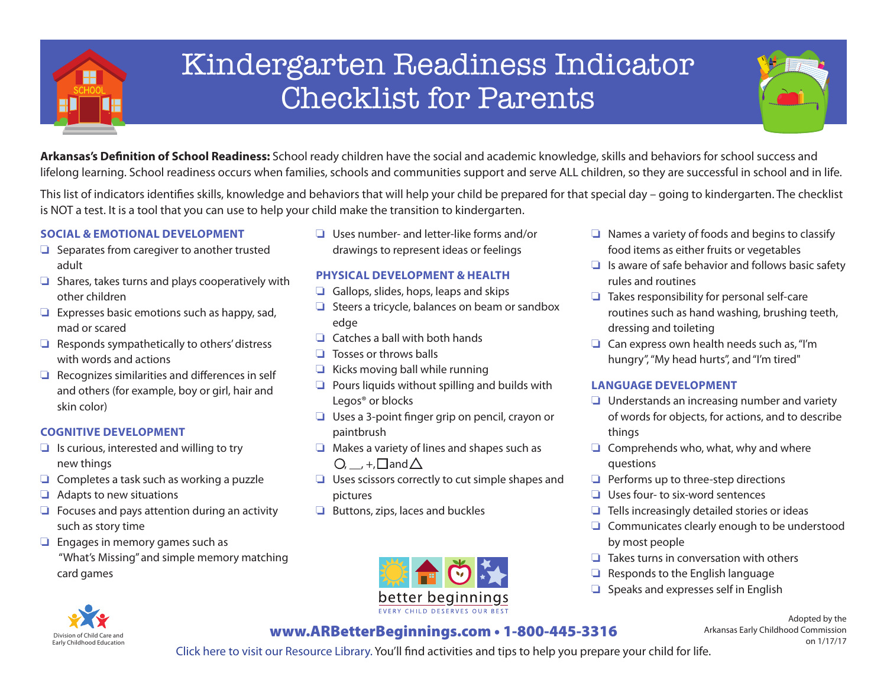

## Kindergarten Readiness Indicator Checklist for Parents



**Arkansas's Definition of School Readiness:** School ready children have the social and academic knowledge, skills and behaviors for school success and lifelong learning. School readiness occurs when families, schools and communities support and serve ALL children, so they are successful in school and in life.

This list of indicators identifies skills, knowledge and behaviors that will help your child be prepared for that special day – going to kindergarten. The checklist is NOT a test. It is a tool that you can use to help your child make the transition to kindergarten.

## **Social & Emotional Development**

- ❏ Separates from caregiver to another trusted adult
- ❏ Shares, takes turns and plays cooperatively with other children
- ❏ Expresses basic emotions such as happy, sad, mad or scared
- ❏ Responds sympathetically to others' distress with words and actions
- ❏ Recognizes similarities and differences in self and others (for example, boy or girl, hair and skin color)

### **Cognitive Development**

- ❏ Is curious, interested and willing to try new things
- ❏ Completes a task such as working a puzzle
- ❏ Adapts to new situations
- ❏ Focuses and pays attention during an activity such as story time
- ❏ Engages in memory games such as "What's Missing" and simple memory matching card games
	- Division of Child Care and Early Childhood Education

❏ Uses number- and letter-like forms and/or drawings to represent ideas or feelings

## **Physical Development & Health**

- ❏ Gallops, slides, hops, leaps and skips
- ❏ Steers a tricycle, balances on beam or sandbox edge
- ❏ Catches a ball with both hands
- ❏ Tosses or throws balls
- ❏ Kicks moving ball while running
- ❏ Pours liquids without spilling and builds with Legos® or blocks
- ❏ Uses a 3-point finger grip on pencil, crayon or paintbrush
- ❏ Makes a variety of lines and shapes such as  $\bigcirc$ ,  $+$ , and  $\bigtriangleup$
- ❏ Uses scissors correctly to cut simple shapes and pictures
- ❏ Buttons, zips, laces and buckles



- ❏ Names a variety of foods and begins to classify food items as either fruits or vegetables
- ❏ Is aware of safe behavior and follows basic safety rules and routines
- ❏ Takes responsibility for personal self-care routines such as hand washing, brushing teeth, dressing and toileting
- ❏ Can express own health needs such as, "I'm hungry", "My head hurts", and "I'm tired"

#### **Language Development**

- ❏ Understands an increasing number and variety of words for objects, for actions, and to describe things
- ❏ Comprehends who, what, why and where questions
- ❏ Performs up to three-step directions
- ❏ Uses four- to six-word sentences
- ❏ Tells increasingly detailed stories or ideas
- ❏ Communicates clearly enough to be understood by most people
- ❏ Takes turns in conversation with others
- ❏ Responds to the English language
- ❏ Speaks and expresses self in English

Adopted by the Arkansas Early Childhood Commission on 1/17/17

www.ARBetterBeginnings.com • 1-800-445-3316

Click here to visit our Resource Library. You'll find activities and tips to help you prepare your child for life.